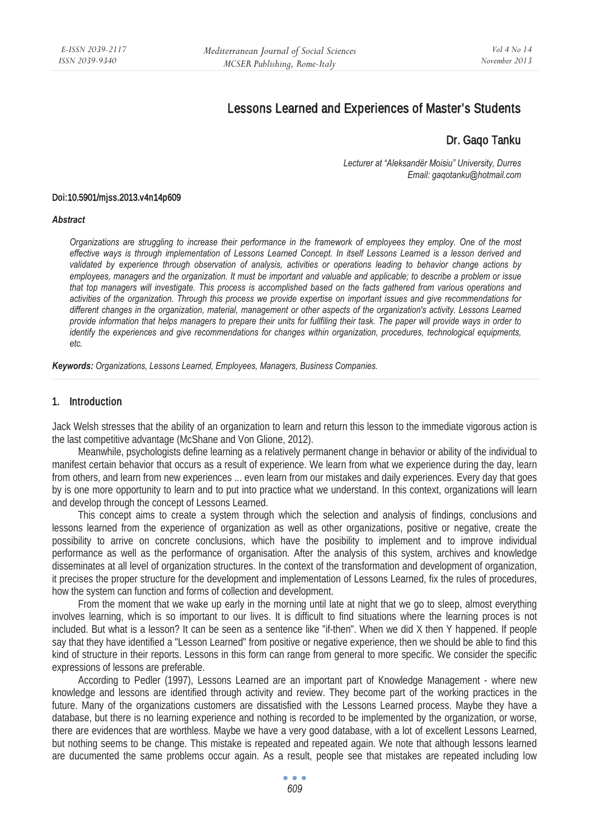# Lessons Learned and Experiences of Master's Students

## Dr. Gaqo Tanku

*Lecturer at "Aleksandër Moisiu" University, Durres Email: gaqotanku@hotmail.com* 

#### Doi:10.5901/mjss.2013.v4n14p609

#### *Abstract*

*Organizations are struggling to increase their performance in the framework of employees they employ. One of the most effective ways is through implementation of Lessons Learned Concept. In itself Lessons Learned is a lesson derived and validated by experience through observation of analysis, activities or operations leading to behavior change actions by employees, managers and the organization. It must be important and valuable and applicable; to describe a problem or issue that top managers will investigate. This process is accomplished based on the facts gathered from various operations and activities of the organization. Through this process we provide expertise on important issues and give recommendations for different changes in the organization, material, management or other aspects of the organization's activity. Lessons Learned provide information that helps managers to prepare their units for fullfiling their task. The paper will provide ways in order to identify the experiences and give recommendations for changes within organization, procedures, technological equipments, etc.* 

*Keywords: Organizations, Lessons Learned, Employees, Managers, Business Companies.* 

#### 1. Introduction

Jack Welsh stresses that the ability of an organization to learn and return this lesson to the immediate vigorous action is the last competitive advantage (McShane and Von Glione, 2012).

Meanwhile, psychologists define learning as a relatively permanent change in behavior or ability of the individual to manifest certain behavior that occurs as a result of experience. We learn from what we experience during the day, learn from others, and learn from new experiences ... even learn from our mistakes and daily experiences. Every day that goes by is one more opportunity to learn and to put into practice what we understand. In this context, organizations will learn and develop through the concept of Lessons Learned.

This concept aims to create a system through which the selection and analysis of findings, conclusions and lessons learned from the experience of organization as well as other organizations, positive or negative, create the possibility to arrive on concrete conclusions, which have the posibility to implement and to improve individual performance as well as the performance of organisation. After the analysis of this system, archives and knowledge disseminates at all level of organization structures. In the context of the transformation and development of organization, it precises the proper structure for the development and implementation of Lessons Learned, fix the rules of procedures, how the system can function and forms of collection and development.

From the moment that we wake up early in the morning until late at night that we go to sleep, almost everything involves learning, which is so important to our lives. It is difficult to find situations where the learning proces is not included. But what is a lesson? It can be seen as a sentence like "if-then". When we did X then Y happened. If people say that they have identified a "Lesson Learned" from positive or negative experience, then we should be able to find this kind of structure in their reports. Lessons in this form can range from general to more specific. We consider the specific expressions of lessons are preferable.

According to Pedler (1997), Lessons Learned are an important part of Knowledge Management - where new knowledge and lessons are identified through activity and review. They become part of the working practices in the future. Many of the organizations customers are dissatisfied with the Lessons Learned process. Maybe they have a database, but there is no learning experience and nothing is recorded to be implemented by the organization, or worse, there are evidences that are worthless. Maybe we have a very good database, with a lot of excellent Lessons Learned, but nothing seems to be change. This mistake is repeated and repeated again. We note that although lessons learned are ducumented the same problems occur again. As a result, people see that mistakes are repeated including low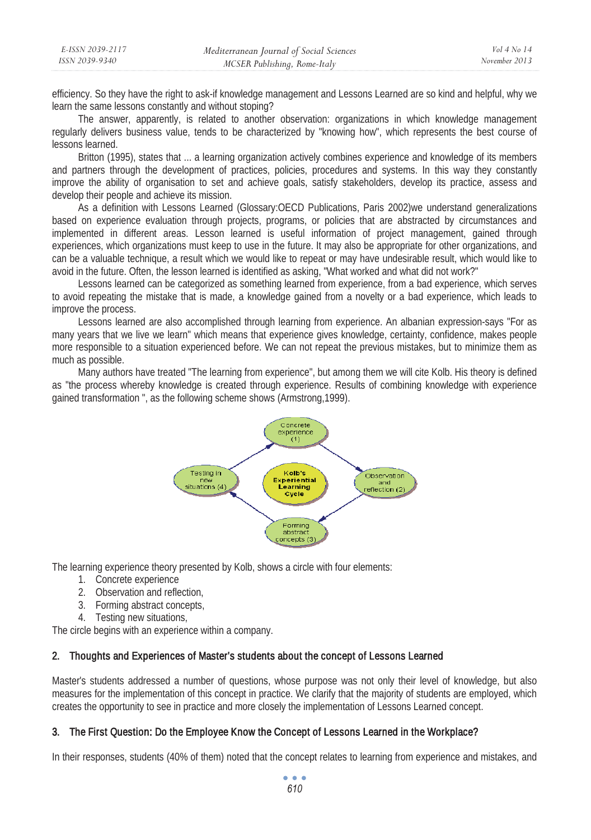efficiency. So they have the right to ask-if knowledge management and Lessons Learned are so kind and helpful, why we learn the same lessons constantly and without stoping?

The answer, apparently, is related to another observation: organizations in which knowledge management regularly delivers business value, tends to be characterized by "knowing how", which represents the best course of lessons learned.

Britton (1995), states that ... a learning organization actively combines experience and knowledge of its members and partners through the development of practices, policies, procedures and systems. In this way they constantly improve the ability of organisation to set and achieve goals, satisfy stakeholders, develop its practice, assess and develop their people and achieve its mission.

As a definition with Lessons Learned (Glossary:OECD Publications, Paris 2002)we understand generalizations based on experience evaluation through projects, programs, or policies that are abstracted by circumstances and implemented in different areas. Lesson learned is useful information of project management, gained through experiences, which organizations must keep to use in the future. It may also be appropriate for other organizations, and can be a valuable technique, a result which we would like to repeat or may have undesirable result, which would like to avoid in the future. Often, the lesson learned is identified as asking, "What worked and what did not work?"

Lessons learned can be categorized as something learned from experience, from a bad experience, which serves to avoid repeating the mistake that is made, a knowledge gained from a novelty or a bad experience, which leads to improve the process.

Lessons learned are also accomplished through learning from experience. An albanian expression-says "For as many years that we live we learn" which means that experience gives knowledge, certainty, confidence, makes people more responsible to a situation experienced before. We can not repeat the previous mistakes, but to minimize them as much as possible.

Many authors have treated "The learning from experience", but among them we will cite Kolb. His theory is defined as "the process whereby knowledge is created through experience. Results of combining knowledge with experience gained transformation ", as the following scheme shows (Armstrong,1999).



The learning experience theory presented by Kolb, shows a circle with four elements:

- 1. Concrete experience
- 2. Observation and reflection,
- 3. Forming abstract concepts,
- 4. Testing new situations,

The circle begins with an experience within a company.

## 2. Thoughts and Experiences of Master's students about the concept of Lessons Learned

Master's students addressed a number of questions, whose purpose was not only their level of knowledge, but also measures for the implementation of this concept in practice. We clarify that the majority of students are employed, which creates the opportunity to see in practice and more closely the implementation of Lessons Learned concept.

## 3. The First Question: Do the Employee Know the Concept of Lessons Learned in the Workplace?

In their responses, students (40% of them) noted that the concept relates to learning from experience and mistakes, and

 $\bullet$   $\bullet$   $\bullet$ *610*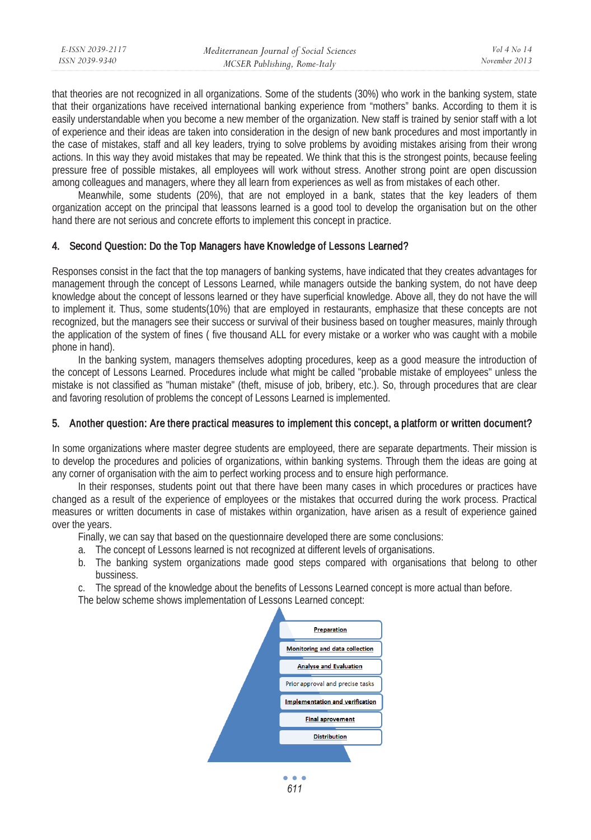that theories are not recognized in all organizations. Some of the students (30%) who work in the banking system, state that their organizations have received international banking experience from "mothers" banks. According to them it is easily understandable when you become a new member of the organization. New staff is trained by senior staff with a lot of experience and their ideas are taken into consideration in the design of new bank procedures and most importantly in the case of mistakes, staff and all key leaders, trying to solve problems by avoiding mistakes arising from their wrong actions. In this way they avoid mistakes that may be repeated. We think that this is the strongest points, because feeling pressure free of possible mistakes, all employees will work without stress. Another strong point are open discussion among colleagues and managers, where they all learn from experiences as well as from mistakes of each other.

Meanwhile, some students (20%), that are not employed in a bank, states that the key leaders of them organization accept on the principal that leassons learned is a good tool to develop the organisation but on the other hand there are not serious and concrete efforts to implement this concept in practice.

### 4. Second Question: Do the Top Managers have Knowledge of Lessons Learned?

Responses consist in the fact that the top managers of banking systems, have indicated that they creates advantages for management through the concept of Lessons Learned, while managers outside the banking system, do not have deep knowledge about the concept of lessons learned or they have superficial knowledge. Above all, they do not have the will to implement it. Thus, some students(10%) that are employed in restaurants, emphasize that these concepts are not recognized, but the managers see their success or survival of their business based on tougher measures, mainly through the application of the system of fines ( five thousand ALL for every mistake or a worker who was caught with a mobile phone in hand).

In the banking system, managers themselves adopting procedures, keep as a good measure the introduction of the concept of Lessons Learned. Procedures include what might be called "probable mistake of employees" unless the mistake is not classified as "human mistake" (theft, misuse of job, bribery, etc.). So, through procedures that are clear and favoring resolution of problems the concept of Lessons Learned is implemented.

#### 5. Another question: Are there practical measures to implement this concept, a platform or written document?

In some organizations where master degree students are employeed, there are separate departments. Their mission is to develop the procedures and policies of organizations, within banking systems. Through them the ideas are going at any corner of organisation with the aim to perfect working process and to ensure high performance.

In their responses, students point out that there have been many cases in which procedures or practices have changed as a result of the experience of employees or the mistakes that occurred during the work process. Practical measures or written documents in case of mistakes within organization, have arisen as a result of experience gained over the years.

Finally, we can say that based on the questionnaire developed there are some conclusions:

- a. The concept of Lessons learned is not recognized at different levels of organisations.
- b. The banking system organizations made good steps compared with organisations that belong to other bussiness.
- c. The spread of the knowledge about the benefits of Lessons Learned concept is more actual than before.

The below scheme shows implementation of Lessons Learned concept:

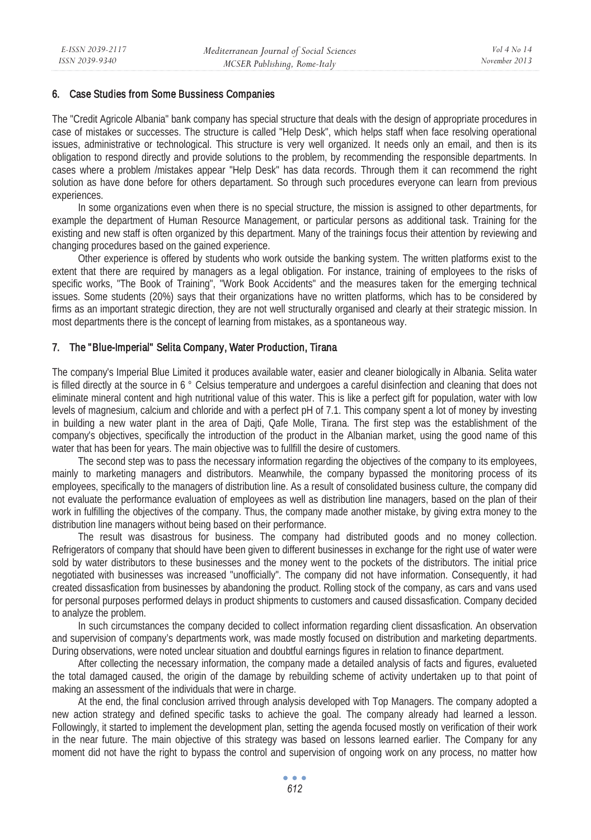#### 6. Case Studies from Some Bussiness Companies

The "Credit Agricole Albania" bank company has special structure that deals with the design of appropriate procedures in case of mistakes or successes. The structure is called "Help Desk", which helps staff when face resolving operational issues, administrative or technological. This structure is very well organized. It needs only an email, and then is its obligation to respond directly and provide solutions to the problem, by recommending the responsible departments. In cases where a problem /mistakes appear "Help Desk" has data records. Through them it can recommend the right solution as have done before for others departament. So through such procedures everyone can learn from previous experiences.

In some organizations even when there is no special structure, the mission is assigned to other departments, for example the department of Human Resource Management, or particular persons as additional task. Training for the existing and new staff is often organized by this department. Many of the trainings focus their attention by reviewing and changing procedures based on the gained experience.

Other experience is offered by students who work outside the banking system. The written platforms exist to the extent that there are required by managers as a legal obligation. For instance, training of employees to the risks of specific works, "The Book of Training", "Work Book Accidents" and the measures taken for the emerging technical issues. Some students (20%) says that their organizations have no written platforms, which has to be considered by firms as an important strategic direction, they are not well structurally organised and clearly at their strategic mission. In most departments there is the concept of learning from mistakes, as a spontaneous way.

#### 7. The "Blue-Imperial" Selita Company, Water Production, Tirana

The company's Imperial Blue Limited it produces available water, easier and cleaner biologically in Albania. Selita water is filled directly at the source in 6 ° Celsius temperature and undergoes a careful disinfection and cleaning that does not eliminate mineral content and high nutritional value of this water. This is like a perfect gift for population, water with low levels of magnesium, calcium and chloride and with a perfect pH of 7.1. This company spent a lot of money by investing in building a new water plant in the area of Dajti, Qafe Molle, Tirana. The first step was the establishment of the company's objectives, specifically the introduction of the product in the Albanian market, using the good name of this water that has been for years. The main objective was to fullfill the desire of customers.

The second step was to pass the necessary information regarding the objectives of the company to its employees, mainly to marketing managers and distributors. Meanwhile, the company bypassed the monitoring process of its employees, specifically to the managers of distribution line. As a result of consolidated business culture, the company did not evaluate the performance evaluation of employees as well as distribution line managers, based on the plan of their work in fulfilling the objectives of the company. Thus, the company made another mistake, by giving extra money to the distribution line managers without being based on their performance.

The result was disastrous for business. The company had distributed goods and no money collection. Refrigerators of company that should have been given to different businesses in exchange for the right use of water were sold by water distributors to these businesses and the money went to the pockets of the distributors. The initial price negotiated with businesses was increased "unofficially". The company did not have information. Consequently, it had created dissasfication from businesses by abandoning the product. Rolling stock of the company, as cars and vans used for personal purposes performed delays in product shipments to customers and caused dissasfication. Company decided to analyze the problem.

In such circumstances the company decided to collect information regarding client dissasfication. An observation and supervision of company's departments work, was made mostly focused on distribution and marketing departments. During observations, were noted unclear situation and doubtful earnings figures in relation to finance department.

After collecting the necessary information, the company made a detailed analysis of facts and figures, evalueted the total damaged caused, the origin of the damage by rebuilding scheme of activity undertaken up to that point of making an assessment of the individuals that were in charge.

At the end, the final conclusion arrived through analysis developed with Top Managers. The company adopted a new action strategy and defined specific tasks to achieve the goal. The company already had learned a lesson. Followingly, it started to implement the development plan, setting the agenda focused mostly on verification of their work in the near future. The main objective of this strategy was based on lessons learned earlier. The Company for any moment did not have the right to bypass the control and supervision of ongoing work on any process, no matter how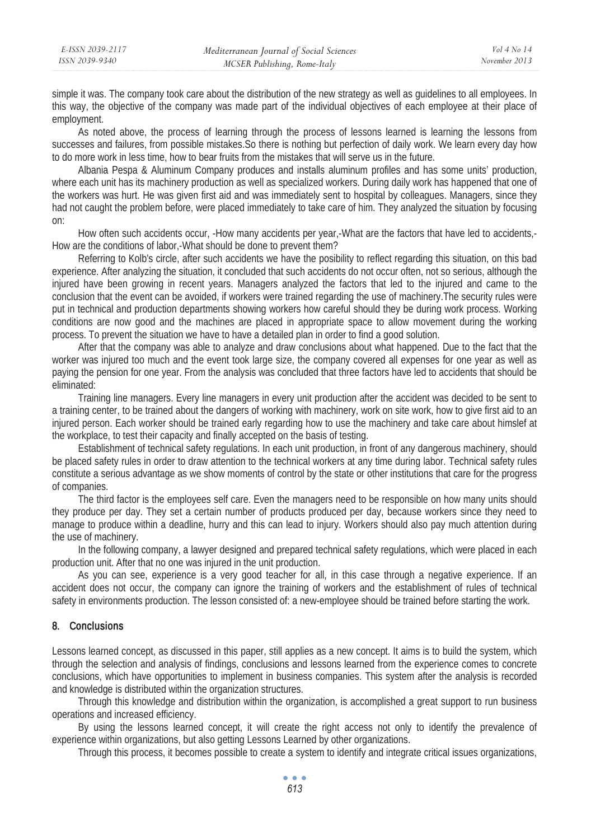simple it was. The company took care about the distribution of the new strategy as well as guidelines to all employees. In this way, the objective of the company was made part of the individual objectives of each employee at their place of employment.

As noted above, the process of learning through the process of lessons learned is learning the lessons from successes and failures, from possible mistakes.So there is nothing but perfection of daily work. We learn every day how to do more work in less time, how to bear fruits from the mistakes that will serve us in the future.

Albania Pespa & Aluminum Company produces and installs aluminum profiles and has some units' production, where each unit has its machinery production as well as specialized workers. During daily work has happened that one of the workers was hurt. He was given first aid and was immediately sent to hospital by colleagues. Managers, since they had not caught the problem before, were placed immediately to take care of him. They analyzed the situation by focusing on:

How often such accidents occur, -How many accidents per year,-What are the factors that have led to accidents,- How are the conditions of labor,-What should be done to prevent them?

Referring to Kolb's circle, after such accidents we have the posibility to reflect regarding this situation, on this bad experience. After analyzing the situation, it concluded that such accidents do not occur often, not so serious, although the injured have been growing in recent years. Managers analyzed the factors that led to the injured and came to the conclusion that the event can be avoided, if workers were trained regarding the use of machinery.The security rules were put in technical and production departments showing workers how careful should they be during work process. Working conditions are now good and the machines are placed in appropriate space to allow movement during the working process. To prevent the situation we have to have a detailed plan in order to find a good solution.

After that the company was able to analyze and draw conclusions about what happened. Due to the fact that the worker was injured too much and the event took large size, the company covered all expenses for one year as well as paying the pension for one year. From the analysis was concluded that three factors have led to accidents that should be eliminated:

Training line managers. Every line managers in every unit production after the accident was decided to be sent to a training center, to be trained about the dangers of working with machinery, work on site work, how to give first aid to an injured person. Each worker should be trained early regarding how to use the machinery and take care about himslef at the workplace, to test their capacity and finally accepted on the basis of testing.

Establishment of technical safety regulations. In each unit production, in front of any dangerous machinery, should be placed safety rules in order to draw attention to the technical workers at any time during labor. Technical safety rules constitute a serious advantage as we show moments of control by the state or other institutions that care for the progress of companies.

The third factor is the employees self care. Even the managers need to be responsible on how many units should they produce per day. They set a certain number of products produced per day, because workers since they need to manage to produce within a deadline, hurry and this can lead to injury. Workers should also pay much attention during the use of machinery.

In the following company, a lawyer designed and prepared technical safety regulations, which were placed in each production unit. After that no one was injured in the unit production.

As you can see, experience is a very good teacher for all, in this case through a negative experience. If an accident does not occur, the company can ignore the training of workers and the establishment of rules of technical safety in environments production. The lesson consisted of: a new-employee should be trained before starting the work.

### 8. Conclusions

Lessons learned concept, as discussed in this paper, still applies as a new concept. It aims is to build the system, which through the selection and analysis of findings, conclusions and lessons learned from the experience comes to concrete conclusions, which have opportunities to implement in business companies. This system after the analysis is recorded and knowledge is distributed within the organization structures.

Through this knowledge and distribution within the organization, is accomplished a great support to run business operations and increased efficiency.

By using the lessons learned concept, it will create the right access not only to identify the prevalence of experience within organizations, but also getting Lessons Learned by other organizations.

Through this process, it becomes possible to create a system to identify and integrate critical issues organizations,